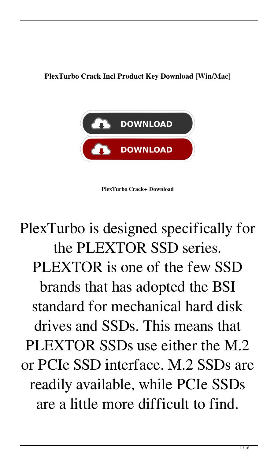**PlexTurbo Crack Incl Product Key Download [Win/Mac]**



**PlexTurbo Crack+ Download**

## PlexTurbo is designed specifically for the PLEXTOR SSD series. PLEXTOR is one of the few SSD brands that has adopted the BSI standard for mechanical hard disk drives and SSDs. This means that PLEXTOR SSDs use either the M.2 or PCIe SSD interface. M.2 SSDs are readily available, while PCIe SSDs are a little more difficult to find.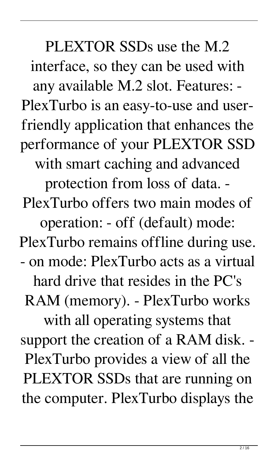PLEXTOR SSDs use the M.2 interface, so they can be used with any available M.2 slot. Features: - PlexTurbo is an easy-to-use and userfriendly application that enhances the performance of your PLEXTOR SSD with smart caching and advanced protection from loss of data. - PlexTurbo offers two main modes of operation: - off (default) mode: PlexTurbo remains offline during use. - on mode: PlexTurbo acts as a virtual hard drive that resides in the PC's RAM (memory). - PlexTurbo works with all operating systems that support the creation of a RAM disk. - PlexTurbo provides a view of all the PLEXTOR SSDs that are running on the computer. PlexTurbo displays the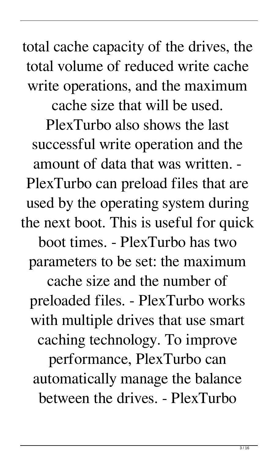total cache capacity of the drives, the total volume of reduced write cache write operations, and the maximum cache size that will be used. PlexTurbo also shows the last successful write operation and the amount of data that was written. - PlexTurbo can preload files that are used by the operating system during the next boot. This is useful for quick boot times. - PlexTurbo has two parameters to be set: the maximum cache size and the number of preloaded files. - PlexTurbo works with multiple drives that use smart caching technology. To improve performance, PlexTurbo can automatically manage the balance between the drives. - PlexTurbo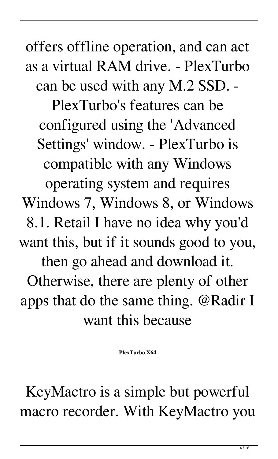offers offline operation, and can act as a virtual RAM drive. - PlexTurbo can be used with any M.2 SSD. -

PlexTurbo's features can be configured using the 'Advanced Settings' window. - PlexTurbo is compatible with any Windows operating system and requires Windows 7, Windows 8, or Windows 8.1. Retail I have no idea why you'd want this, but if it sounds good to you, then go ahead and download it. Otherwise, there are plenty of other apps that do the same thing. @Radir I want this because

**PlexTurbo X64**

KeyMactro is a simple but powerful macro recorder. With KeyMactro you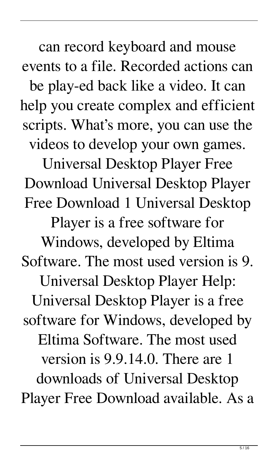can record keyboard and mouse events to a file. Recorded actions can be play-ed back like a video. It can help you create complex and efficient scripts. What's more, you can use the videos to develop your own games.

Universal Desktop Player Free Download Universal Desktop Player Free Download 1 Universal Desktop

Player is a free software for

Windows, developed by Eltima Software. The most used version is 9. Universal Desktop Player Help: Universal Desktop Player is a free software for Windows, developed by Eltima Software. The most used version is 9.9.14.0. There are 1 downloads of Universal Desktop Player Free Download available. As a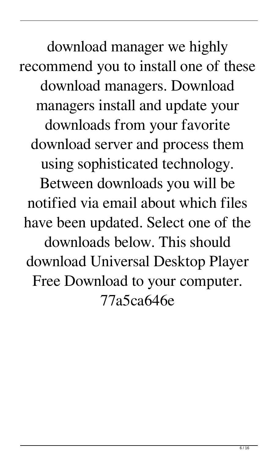download manager we highly recommend you to install one of these download managers. Download managers install and update your downloads from your favorite download server and process them using sophisticated technology. Between downloads you will be notified via email about which files have been updated. Select one of the downloads below. This should download Universal Desktop Player Free Download to your computer. 77a5ca646e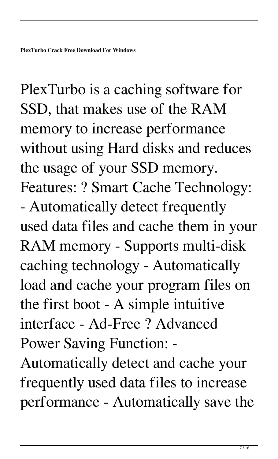PlexTurbo is a caching software for SSD, that makes use of the RAM memory to increase performance without using Hard disks and reduces the usage of your SSD memory. Features: ? Smart Cache Technology: - Automatically detect frequently used data files and cache them in your RAM memory - Supports multi-disk caching technology - Automatically load and cache your program files on the first boot - A simple intuitive interface - Ad-Free ? Advanced Power Saving Function: -

Automatically detect and cache your frequently used data files to increase performance - Automatically save the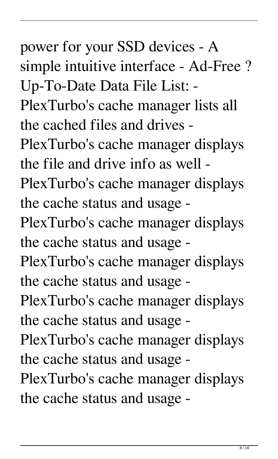power for your SSD devices - A simple intuitive interface - Ad-Free ? Up-To-Date Data File List: - PlexTurbo's cache manager lists all the cached files and drives - PlexTurbo's cache manager displays the file and drive info as well - PlexTurbo's cache manager displays the cache status and usage - PlexTurbo's cache manager displays the cache status and usage - PlexTurbo's cache manager displays the cache status and usage - PlexTurbo's cache manager displays the cache status and usage - PlexTurbo's cache manager displays the cache status and usage - PlexTurbo's cache manager displays the cache status and usage -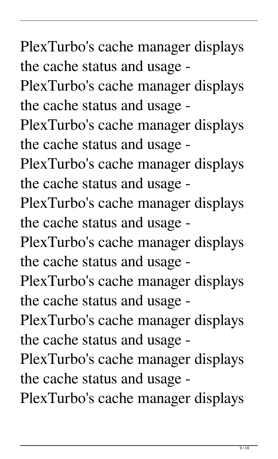PlexTurbo's cache manager displays the cache status and usage - PlexTurbo's cache manager displays the cache status and usage - PlexTurbo's cache manager displays the cache status and usage - PlexTurbo's cache manager displays the cache status and usage - PlexTurbo's cache manager displays the cache status and usage - PlexTurbo's cache manager displays the cache status and usage - PlexTurbo's cache manager displays the cache status and usage - PlexTurbo's cache manager displays the cache status and usage - PlexTurbo's cache manager displays the cache status and usage - PlexTurbo's cache manager displays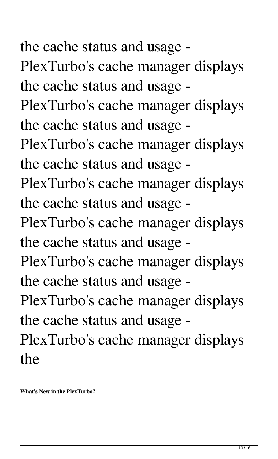the cache status and usage - PlexTurbo's cache manager displays the cache status and usage - PlexTurbo's cache manager displays the cache status and usage - PlexTurbo's cache manager displays the cache status and usage - PlexTurbo's cache manager displays the cache status and usage - PlexTurbo's cache manager displays the cache status and usage - PlexTurbo's cache manager displays the cache status and usage - PlexTurbo's cache manager displays the cache status and usage - PlexTurbo's cache manager displays the

**What's New in the PlexTurbo?**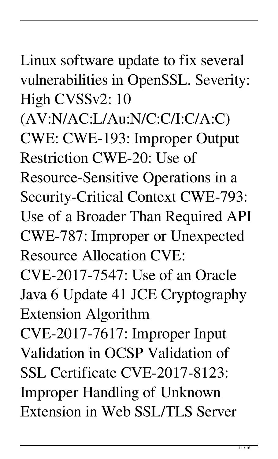Linux software update to fix several vulnerabilities in OpenSSL. Severity: High CVSSv2: 10

(AV:N/AC:L/Au:N/C:C/I:C/A:C) CWE: CWE-193: Improper Output Restriction CWE-20: Use of

Resource-Sensitive Operations in a Security-Critical Context CWE-793: Use of a Broader Than Required API CWE-787: Improper or Unexpected Resource Allocation CVE:

CVE-2017-7547: Use of an Oracle Java 6 Update 41 JCE Cryptography Extension Algorithm

CVE-2017-7617: Improper Input Validation in OCSP Validation of SSL Certificate CVE-2017-8123: Improper Handling of Unknown Extension in Web SSL/TLS Server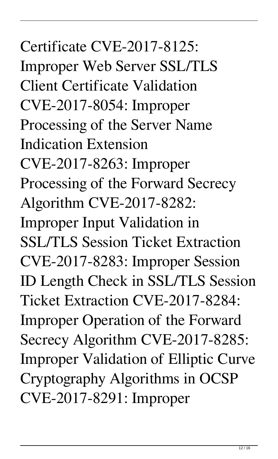Certificate CVE-2017-8125: Improper Web Server SSL/TLS Client Certificate Validation CVE-2017-8054: Improper Processing of the Server Name Indication Extension CVE-2017-8263: Improper Processing of the Forward Secrecy Algorithm CVE-2017-8282: Improper Input Validation in SSL/TLS Session Ticket Extraction CVE-2017-8283: Improper Session ID Length Check in SSL/TLS Session Ticket Extraction CVE-2017-8284: Improper Operation of the Forward Secrecy Algorithm CVE-2017-8285: Improper Validation of Elliptic Curve Cryptography Algorithms in OCSP CVE-2017-8291: Improper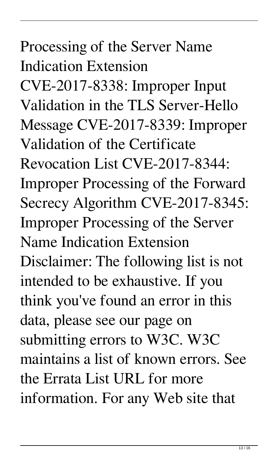Processing of the Server Name Indication Extension CVE-2017-8338: Improper Input Validation in the TLS Server-Hello Message CVE-2017-8339: Improper Validation of the Certificate Revocation List CVE-2017-8344: Improper Processing of the Forward Secrecy Algorithm CVE-2017-8345: Improper Processing of the Server Name Indication Extension Disclaimer: The following list is not intended to be exhaustive. If you think you've found an error in this data, please see our page on submitting errors to W3C. W3C maintains a list of known errors. See the Errata List URL for more information. For any Web site that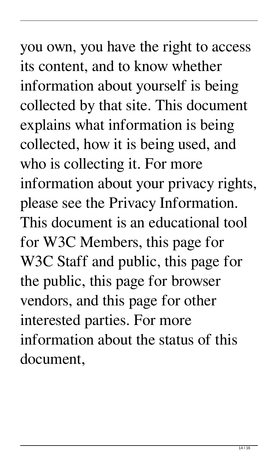you own, you have the right to access its content, and to know whether information about yourself is being collected by that site. This document explains what information is being collected, how it is being used, and who is collecting it. For more information about your privacy rights, please see the Privacy Information. This document is an educational tool for W3C Members, this page for W3C Staff and public, this page for the public, this page for browser vendors, and this page for other interested parties. For more information about the status of this document,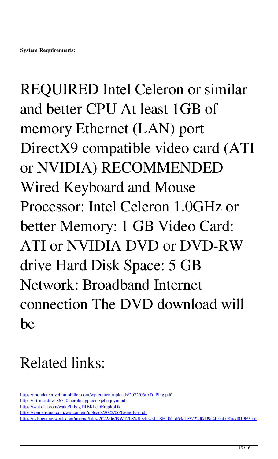REQUIRED Intel Celeron or similar and better CPU At least 1GB of memory Ethernet (LAN) port DirectX9 compatible video card (ATI or NVIDIA) RECOMMENDED Wired Keyboard and Mouse Processor: Intel Celeron 1.0GHz or better Memory: 1 GB Video Card: ATI or NVIDIA DVD or DVD-RW drive Hard Disk Space: 5 GB Network: Broadband Internet connection The DVD download will be

## Related links:

[https://mondetectiveimmobilier.com/wp-content/uploads/2022/06/AD\\_Ping.pdf](https://mondetectiveimmobilier.com/wp-content/uploads/2022/06/AD_Ping.pdf) <https://lit-meadow-86740.herokuapp.com/jehoquym.pdf> <https://wakelet.com/wake/btFcgTlfBKhcDErepkbDk> <https://yemensouq.com/wp-content/uploads/2022/06/NemoBar.pdf>

[https://adsocialnetwork.com/upload/files/2022/06/l9WT2b8SdJcgKwr41jSH\\_06\\_d63d1e3722d0d99a4b5a4790acd019b9\\_fil](https://adsocialnetwork.com/upload/files/2022/06/l9WT2b8SdJcgKwr41jSH_06_d63d1e3722d0d99a4b5a4790acd019b9_file.pdf)